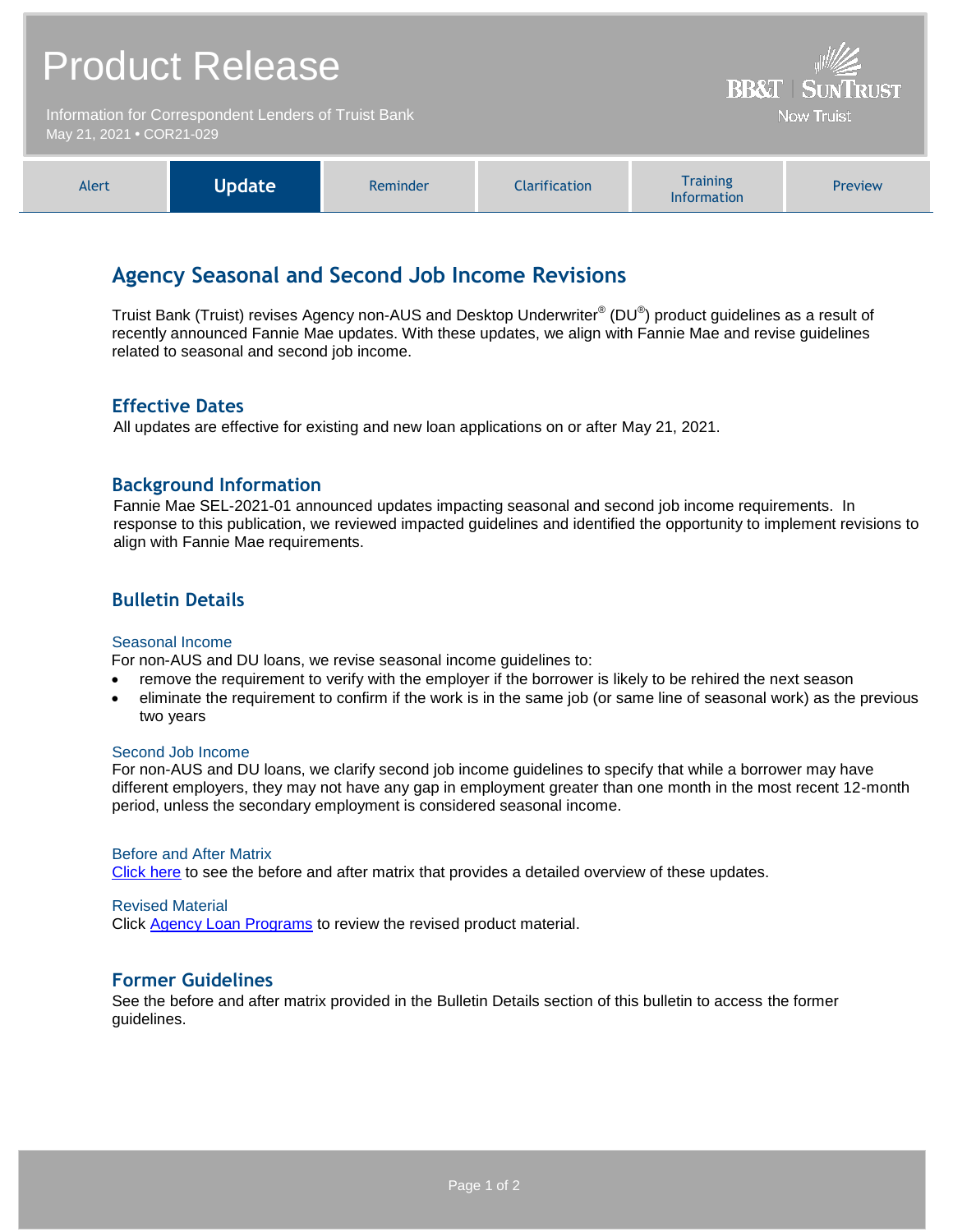| <b>Product Release</b>                                                           |               |          |                      | <b>BB&amp;T   SUNTRUST</b>            |         |
|----------------------------------------------------------------------------------|---------------|----------|----------------------|---------------------------------------|---------|
| Information for Correspondent Lenders of Truist Bank<br>May 21, 2021 . COR21-029 |               |          |                      | <b>Now Truist</b>                     |         |
| Alert                                                                            | <b>Update</b> | Reminder | <b>Clarification</b> | <b>Training</b><br><b>Information</b> | Preview |

# **Agency Seasonal and Second Job Income Revisions**

Truist Bank (Truist) revises Agency non-AUS and Desktop Underwriter® (DU®) product guidelines as a result of recently announced Fannie Mae updates. With these updates, we align with Fannie Mae and revise guidelines related to seasonal and second job income.

# **Effective Dates**

All updates are effective for existing and new loan applications on or after May 21, 2021.

# **Background Information**

Fannie Mae SEL-2021-01 announced updates impacting seasonal and second job income requirements. In response to this publication, we reviewed impacted guidelines and identified the opportunity to implement revisions to align with Fannie Mae requirements.

# **Bulletin Details**

### Seasonal Income

For non-AUS and DU loans, we revise seasonal income guidelines to:

- remove the requirement to verify with the employer if the borrower is likely to be rehired the next season
- eliminate the requirement to confirm if the work is in the same job (or same line of seasonal work) as the previous two years

#### Second Job Income

For non-AUS and DU loans, we clarify second job income guidelines to specify that while a borrower may have different employers, they may not have any gap in employment greater than one month in the most recent 12-month period, unless the secondary employment is considered seasonal income.

#### Before and After Matrix

[Click here](http://www.truistsellerguide.com/manual/cor/products/Cr21-029BA.pdf) to see the before and after matrix that provides a detailed overview of these updates.

#### Revised Material

Click [Agency Loan Programs](https://www.truistsellerguide.com/manual/cor/products/CAgency.pdf) to review the revised product material.

### **Former Guidelines**

See the before and after matrix provided in the Bulletin Details section of this bulletin to access the former guidelines.